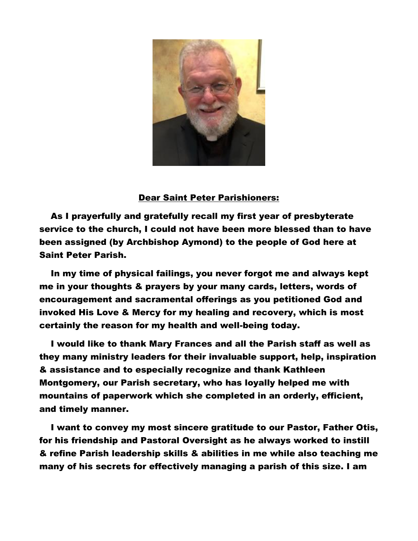

## Dear Saint Peter Parishioners:

 As I prayerfully and gratefully recall my first year of presbyterate service to the church, I could not have been more blessed than to have been assigned (by Archbishop Aymond) to the people of God here at Saint Peter Parish.

 In my time of physical failings, you never forgot me and always kept me in your thoughts & prayers by your many cards, letters, words of encouragement and sacramental offerings as you petitioned God and invoked His Love & Mercy for my healing and recovery, which is most certainly the reason for my health and well-being today.

 I would like to thank Mary Frances and all the Parish staff as well as they many ministry leaders for their invaluable support, help, inspiration & assistance and to especially recognize and thank Kathleen Montgomery, our Parish secretary, who has loyally helped me with mountains of paperwork which she completed in an orderly, efficient, and timely manner.

 I want to convey my most sincere gratitude to our Pastor, Father Otis, for his friendship and Pastoral Oversight as he always worked to instill & refine Parish leadership skills & abilities in me while also teaching me many of his secrets for effectively managing a parish of this size. I am